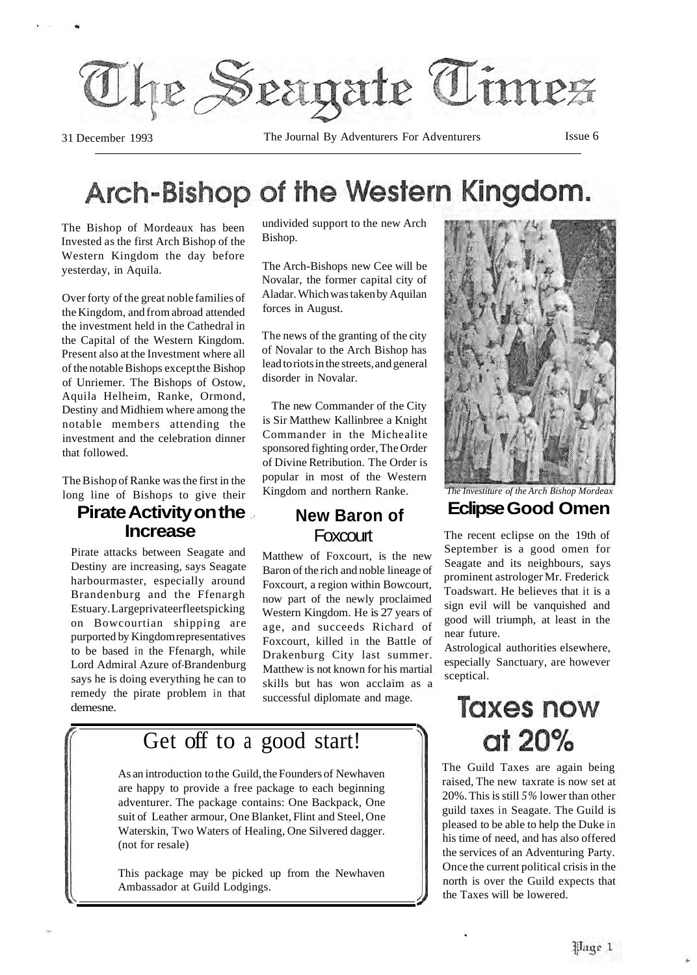

31 December 1993 The Journal By Adventurers For Adventurers Issue 6

### Arch-Bishop of the Western Kingdom.

The Bishop of Mordeaux has been Invested as the first Arch Bishop of the Western Kingdom the day before yesterday, in Aquila.

Over forty of the great noble families of the Kingdom, and from abroad attended the investment held in the Cathedral in the Capital of the Western Kingdom. Present also at the Investment where all of the notable Bishops except the Bishop of Unriemer. The Bishops of Ostow, Aquila Helheim, Ranke, Ormond, Destiny and Midhiem where among the notable members attending the investment and the celebration dinner that followed.

The Bishop of Ranke was the first in the long line of Bishops to give their

#### **Pirate Activity on the Increase**

Pirate attacks between Seagate and Destiny are increasing, says Seagate harbourmaster, especially around Brandenburg and the Ffenargh Estuary. Largeprivateerfleetspicking on Bowcourtian shipping are purported by Kingdom representatives to be based in the Ffenargh, while Lord Admiral Azure of-Brandenburg says he is doing everything he can to remedy the pirate problem in that demesne.

undivided support to the new Arch Bishop.

The Arch-Bishops new Cee will be Novalar, the former capital city of Aladar. Which was taken by Aquilan forces in August.

The news of the granting of the city of Novalar to the Arch Bishop has lead to riots in the streets, and general disorder in Novalar.

The new Commander of the City is Sir Matthew Kallinbree a Knight Commander in the Michealite sponsored fighting order, The Order of Divine Retribution. The Order is popular in most of the Western Kingdom and northern Ranke.

#### **New Baron of** Foxcourt

Matthew of Foxcourt, is the new Baron of the rich and noble lineage of Foxcourt, a region within Bowcourt, now part of the newly proclaimed Western Kingdom. He is 27 years of age, and succeeds Richard of Foxcourt, killed in the Battle of Drakenburg City last summer. Matthew is not known for his martial skills but has won acclaim as a successful diplomate and mage.

### Get off to a good start!

As an introduction to the Guild, the Founders of Newhaven are happy to provide a free package to each beginning adventurer. The package contains: One Backpack, One suit of Leather armour, One Blanket, Flint and Steel, One Waterskin, Two Waters of Healing, One Silvered dagger. (not for resale)

This package may be picked up from the Newhaven Ambassador at Guild Lodgings.



*The Investiture of the Arch Bishop Mordeax* 

#### **Eclipse Good Omen**

The recent eclipse on the 19th of September is a good omen for Seagate and its neighbours, says prominent astrologer Mr. Frederick Toadswart. He believes that it is a sign evil will be vanquished and good will triumph, at least in the near future.

Astrological authorities elsewhere, especially Sanctuary, are however sceptical.

### **Taxes now** at 20%

The Guild Taxes are again being raised. The new taxrate is now set at 20%. This is still *5%* lower than other guild taxes in Seagate. The Guild is pleased to be able to help the Duke in his time of need, and has also offered the services of an Adventuring Party. Once the current political crisis in the north is over the Guild expects that the Taxes will be lowered.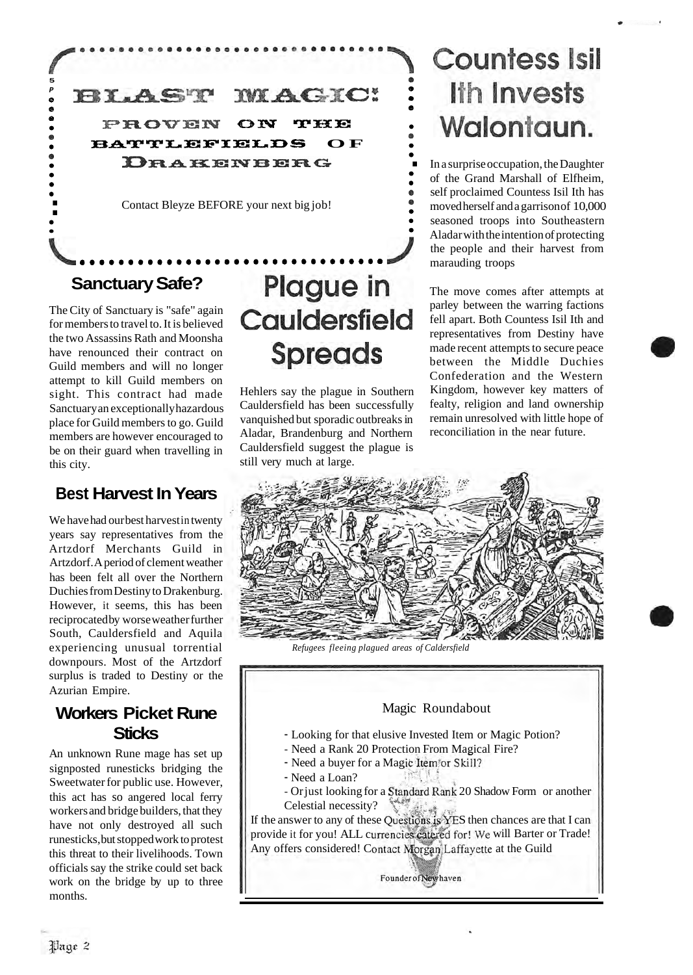

### **Sanctuary Safe?**

The City of Sanctuary is "safe" again for members to travel to. It is believed the two Assassins Rath and Moonsha have renounced their contract on Guild members and will no longer attempt to kill Guild members on sight. This contract had made Sanctuary an exceptionally hazardous place for Guild members to go. Guild members are however encouraged to be on their guard when travelling in this city.

### **Best Harvest In Years**

We have had our best harvest in twenty years say representatives from the Artzdorf Merchants Guild in Artzdorf. A period of clement weather has been felt all over the Northern Duchies from Destiny to Drakenburg. However, it seems, this has been reciprocated by worse weather further South, Cauldersfield and Aquila experiencing unusual torrential downpours. Most of the Artzdorf surplus is traded to Destiny or the Azurian Empire.

#### **Workers Picket Rune Sticks**

An unknown Rune mage has set up signposted runesticks bridging the Sweetwater for public use. However, this act has so angered local ferry workers and bridge builders, that they have not only destroyed all such runesticks, but stopped work to protest this threat to their livelihoods. Town officials say the strike could set back work on the bridge by up to three months.

### Plague in Cauldersfield **Spreads**

Hehlers say the plague in Southern Cauldersfield has been successfully vanquished but sporadic outbreaks in Aladar, Brandenburg and Northern Cauldersfield suggest the plague is still very much at large.

### **Countess Isil Ith Invests** Walontaun.

In a surprise occupation, the Daughter of the Grand Marshall of Elfheim, self proclaimed Countess Isil Ith has moved herself and a garrison of 10,000 seasoned troops into Southeastern Aladar with the intention of protecting the people and their harvest from marauding troops

The move comes after attempts at parley between the warring factions fell apart. Both Countess Isil Ith and representatives from Destiny have made recent attempts to secure peace between the Middle Duchies Confederation and the Western Kingdom, however key matters of fealty, religion and land ownership remain unresolved with little hope of reconciliation in the near future.



*Refugees fleeing plagued areas of Caldersfield* 

#### Magic Roundabout

- Looking for that elusive Invested Item or Magic Potion?
- Need a Rank 20 Protection From Magical Fire?
- Need a buyer for a Magic Item or Skill?
- Need a Loan?
- Or just looking for a 20 Shadow Form or another Celestial necessity?

If the answer to any of these Questions is YES then chances are that I can provide it for you! ALL currencies catered for! We will Barter or Trade! Any offers considered! Contact Morgan Laffayette at the Guild

Founder of Newhaven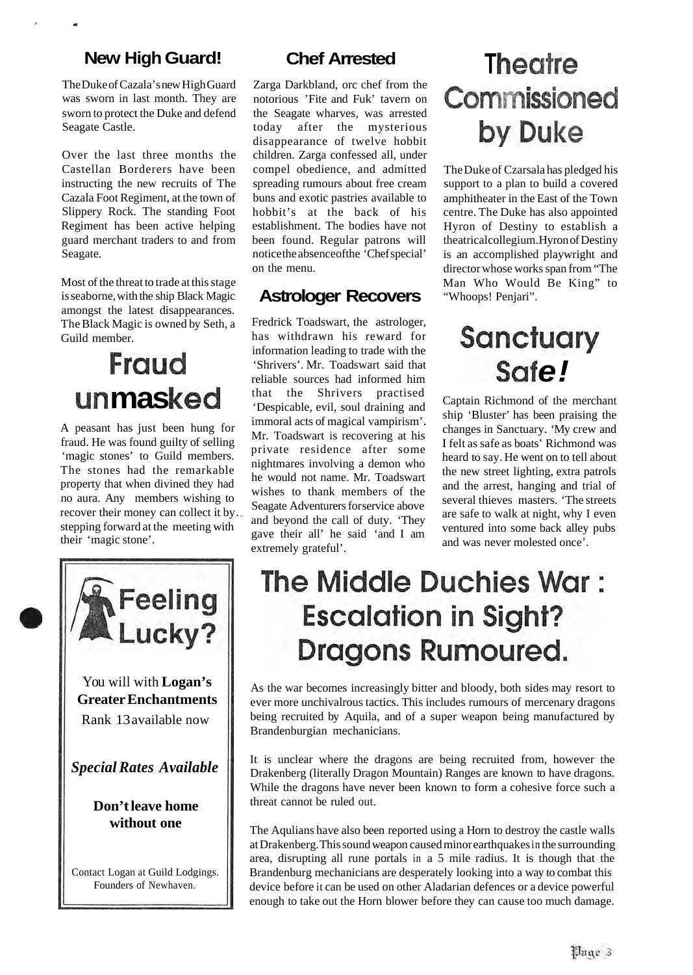#### **New High Guard!**

The Duke of Cazala's new High Guard was sworn in last month. They are sworn to protect the Duke and defend Seagate Castle.

Over the last three months the Castellan Borderers have been instructing the new recruits of The Cazala Foot Regiment, at the town of Slippery Rock. The standing Foot Regiment has been active helping guard merchant traders to and from Seagate.

Most of the threat to trade at this stage is seaborne, with the ship Black Magic amongst the latest disappearances. The Black Magic is owned by Seth, a Guild member.

### Fraud unmasked

A peasant has just been hung for fraud. He was found guilty of selling 'magic stones' to Guild members. The stones had the remarkable property that when divined they had no aura. Any members wishing to Seagate Adventurers for service above<br>recover their money can collect it by... Seagate Adventurers for service above<br>and beyond the call of duty. They stepping forward at the meeting with. stepping forward at the meeting with<br>their all' he said 'and I am their 'magic stone'.



#### **Chef Arrested**

Zarga Darkbland, orc chef from the notorious 'Fite and Fuk' tavern on the Seagate wharves, was arrested today after the mysterious disappearance of twelve hobbit children. Zarga confessed all, under compel obedience, and admitted spreading rumours about free cream buns and exotic pastries available to hobbit's at the back of his establishment. The bodies have not been found. Regular patrons will notice the absenceofthe 'Chef special' on the menu.

#### **Astrologer Recovers**

Fredrick Toadswart, the astrologer, has withdrawn his reward for information leading to trade with the 'Shrivers'. Mr. Toadswart said that reliable sources had informed him that the Shrivers practised 'Despicable, evil, soul draining and immoral acts of magical vampirism' . Mr. Toadswart is recovering at his private residence after some nightmares involving a demon who he would not name. Mr. Toadswart wishes to thank members of the extremely grateful'.

## **Theatre** Commissioned by Duke

The Duke of Czarsala has pledged his support to a plan to build a covered amphitheater in the East of the Town centre. The Duke has also appointed Hyron of Destiny to establish a theatrical collegium. Hyron of Destiny is an accomplished playwright and director whose works span from "The Man Who Would Be King" to "Whoops! Penjari".

## **Sanctuary** Safe!

Captain Richmond of the merchant ship 'Bluster' has been praising the changes in Sanctuary. 'My crew and I felt as safe as boats' Richmond was heard to say. He went on to tell about the new street lighting, extra patrols and the arrest, hanging and trial of several thieves masters. 'The streets are safe to walk at night, why I even ventured into some back alley pubs and was never molested once'.

### **The Middle Duchies War: Escalation in Sight? Dragons Rumoured.**

As the war becomes increasingly bitter and bloody, both sides may resort to ever more unchivalrous tactics. This includes rumours of mercenary dragons being recruited by Aquila, and of a super weapon being manufactured by Brandenburgian mechanicians.

It is unclear where the dragons are being recruited from, however the Drakenberg (literally Dragon Mountain) Ranges are known to have dragons. While the dragons have never been known to form a cohesive force such a threat cannot be ruled out.

The Aqulians have also been reported using a Horn to destroy the castle walls at Drakenberg. This sound weapon caused minor earthquakes in the surrounding area, disrupting all rune portals in a 5 mile radius. It is though that the Brandenburg mechanicians are desperately looking into a way to combat this device before it can be used on other Aladarian defences or a device powerful enough to take out the Horn blower before they can cause too much damage.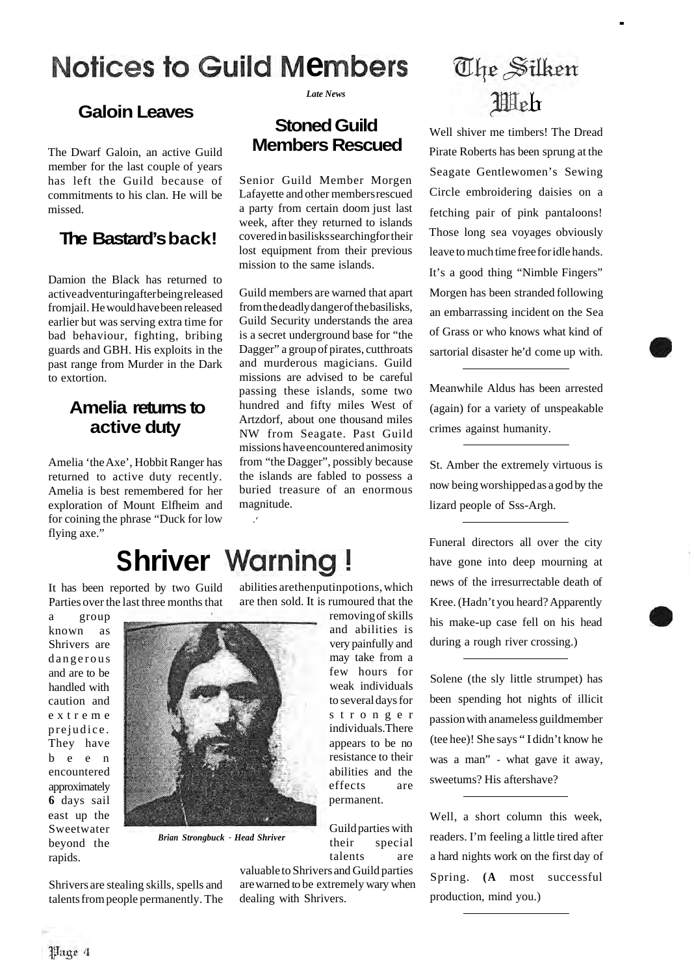### **Notices to Guild Members**

### **Galoin Leaves**

The Dwarf Galoin, an active Guild member for the last couple of years has left the Guild because of commitments to his clan. He will be missed.

#### **The Bastard's back!**

Damion the Black has returned to active adventuring after being released from jail. He would have been released earlier but was serving extra time for bad behaviour, fighting, bribing guards and GBH. His exploits in the past range from Murder in the Dark to extortion.

#### **Amelia returns to active duty**

Amelia 'the Axe', Hobbit Ranger has returned to active duty recently. Amelia is best remembered for her exploration of Mount Elfheim and for coining the phrase "Duck for low . flying axe."

#### *Late News*

#### **Stoned Guild Members Rescued**

Senior Guild Member Morgen Lafayette and other members rescued a party from certain doom just last week, after they returned to islands covered in basilisks searching for their lost equipment from their previous mission to the same islands.

Guild members are warned that apart from the deadly danger of the basilisks, Guild Security understands the area is a secret underground base for "the Dagger" a group of pirates, cutthroats and murderous magicians. Guild missions are advised to be careful passing these islands, some two hundred and fifty miles West of Artzdorf, about one thousand miles NW from Seagate. Past Guild missions have encountered animosity from "the Dagger", possibly because the islands are fabled to possess a buried treasure of an enormous magnitude.

# **Shriver Warning!**

It has been reported by two Guild Parties over the last three months that

a group known as Shrivers are dangerous and are to be handled with caution and extreme prejudice. They have been encountered approximately **6** days sail east up the Sweetwater beyond the rapids.



*Brian Strongbuck* - *Head Shriver* 

Shrivers are stealing skills, spells and talents from people permanently. The abilities arethenputinpotions, which are then sold. It is rumoured that the

> removing of skills and abilities is very painfully and may take from a few hours for weak individuals to several days for stronger individuals. There appears to be no resistance to their abilities and the effects are permanent.

> Guild parties with their special talents are

valuable to Shrivers and Guild parties are warned to be extremely wary when dealing with Shrivers.

### The Silken **Illeb**

.

Well shiver me timbers! The Dread Pirate Roberts has been sprung at the Seagate Gentlewomen's Sewing Circle embroidering daisies on a fetching pair of pink pantaloons! Those long sea voyages obviously leave to much time free for idle hands. It's a good thing "Nimble Fingers" Morgen has been stranded following an embarrassing incident on the Sea of Grass or who knows what kind of sartorial disaster he'd come up with.

Meanwhile Aldus has been arrested (again) for a variety of unspeakable crimes against humanity.

St. Amber the extremely virtuous is now being worshipped as a god by the lizard people of Sss-Argh.

Funeral directors all over the city have gone into deep mourning at news of the irresurrectable death of Kree. (Hadn't you heard? Apparently his make-up case fell on his head during a rough river crossing.)

Solene (the sly little strumpet) has been spending hot nights of illicit passion with anameless guildmember (tee hee)! She says "I didn't know he was a man" - what gave it away, sweetums? His aftershave?

Well, a short column this week, readers. I'm feeling a little tired after a hard nights work on the first day of Spring. **(A** most successful production, mind you.)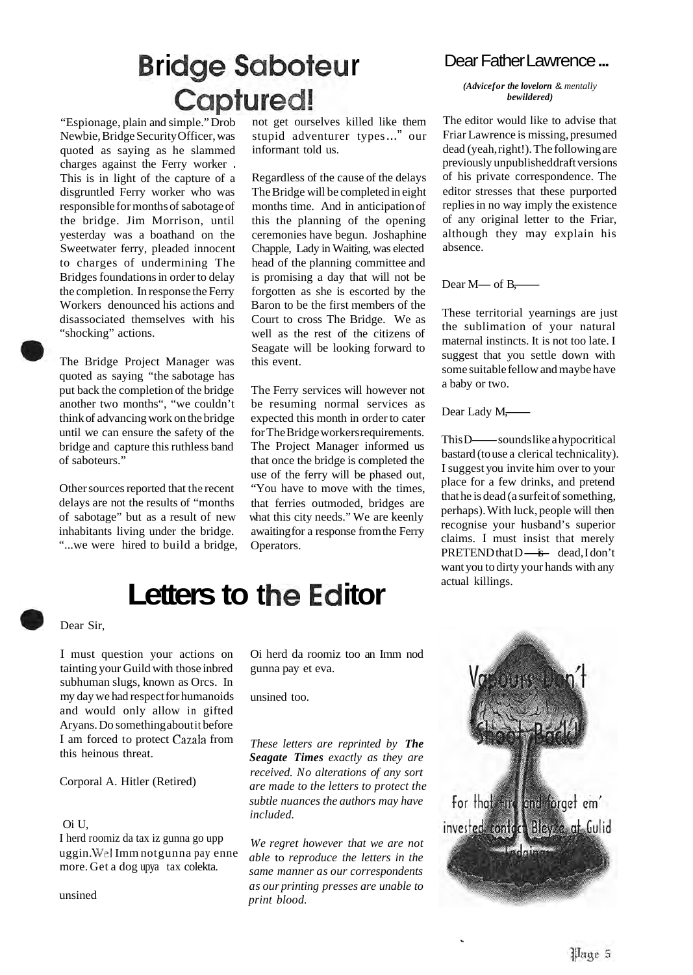# **Bridge Saboteur** Captured!

"Espionage, plain and simple." Drob Newbie, Bridge Security Officer, was quoted as saying as he slammed charges against the Ferry worker . This is in light of the capture of a disgruntled Ferry worker who was responsible for months of sabotage of the bridge. Jim Morrison, until yesterday was a boathand on the Sweetwater ferry, pleaded innocent to charges of undermining The Bridges foundations in order to delay the completion. In response the Ferry Workers denounced his actions and disassociated themselves with his "shocking" actions.

The Bridge Project Manager was quoted as saying "the sabotage has put back the completion of the bridge another two months", "we couldn't think of advancing work on the bridge until we can ensure the safety of the bridge and capture this ruthless band of saboteurs."

Other sources reported that the recent delays are not the results of "months of sabotage" but as a result of new inhabitants living under the bridge. "...we were hired to build a bridge,

not get ourselves killed like them stupid adventurer types ..." our informant told us.

Regardless of the cause of the delays The Bridge will be completed in eight months time. And in anticipation of this the planning of the opening ceremonies have begun. Joshaphine Chapple, Lady in Waiting, was elected head of the planning committee and is promising a day that will not be forgotten as she is escorted by the Baron to be the first members of the Court to cross The Bridge. We as well as the rest of the citizens of Seagate will be looking forward to this event.

The Ferry services will however not be resuming normal services as expected this month in order to cater for The Bridge workers requirements. The Project Manager informed us that once the bridge is completed the use of the ferry will be phased out, "You have to move with the times, that ferries outmoded, bridges are what this city needs." We are keenly awaiting for a response from the Ferry Operators.

#### Dear Father Lawrence ...

*(Advice for the lovelorn* & *mentally bewildered)* 

The editor would like to advise that Friar Lawrence is missing, presumed dead (yeah, right!). The following are previously unpublished draft versions of his private correspondence. The editor stresses that these purported replies in no way imply the existence of any original letter to the Friar, although they may explain his absence.<br>
Dear M— of B,— although they may explain his absence.

These territorial yearnings are just the sublimation of your natural maternal instincts. It is not too late. I suggest that you settle down with some suitable fellow and maybe have a baby or two. maternal instincts.<br>
suggest that you<br>
some suitable fellov<br>
a baby or two.<br>
Dear Lady M,

some suitable fellow and maybe have<br>
a baby or two.<br>
Dear Lady M<sub>;</sub><br>
This D—— sounds like a hypocritical<br>
bastard (to use a clerical technicality). I suggest you invite him over to your place for a few drinks, and pretend that he is dead (a surfeit of something, perhaps). With luck, people will then recognise your husband's superior claims. I must insist that merely place for a few drinks, and pretend<br>that he is dead (a surfeit of something,<br>perhaps). With luck, people will then<br>recognise your husband's superior<br>claims. I must insist that merely<br>PRETEND that D—<del>is</del>—dead, I don't<br>want want you to dirty your hands with any actual killings.

### **Letters to the Editor**

Dear Sir,

I must question your actions on tainting your Guild with those inbred subhuman slugs, known as Orcs. In my day we had respect for humanoids and would only allow in gifted Aryans. Do something about it before I am forced to protect Cazala from this heinous threat.

Corporal A. Hitler (Retired)

#### Oi U,

I herd roomiz da tax iz gunna go upp uggin. Wel Imm not gunna pay enne more. Get a dog upya tax colekta.

unsined

Oi herd da roomiz too an Imm nod gunna pay et eva.

unsined too.

*These letters are reprinted by The Seagate Times exactly as they are received. No alterations of any sort are made to the letters to protect the subtle nuances the authors may have included.* 

*We regret however that we are not able* to *reproduce the letters in the same manner as our correspondents as our printing presses are unable to print blood.*

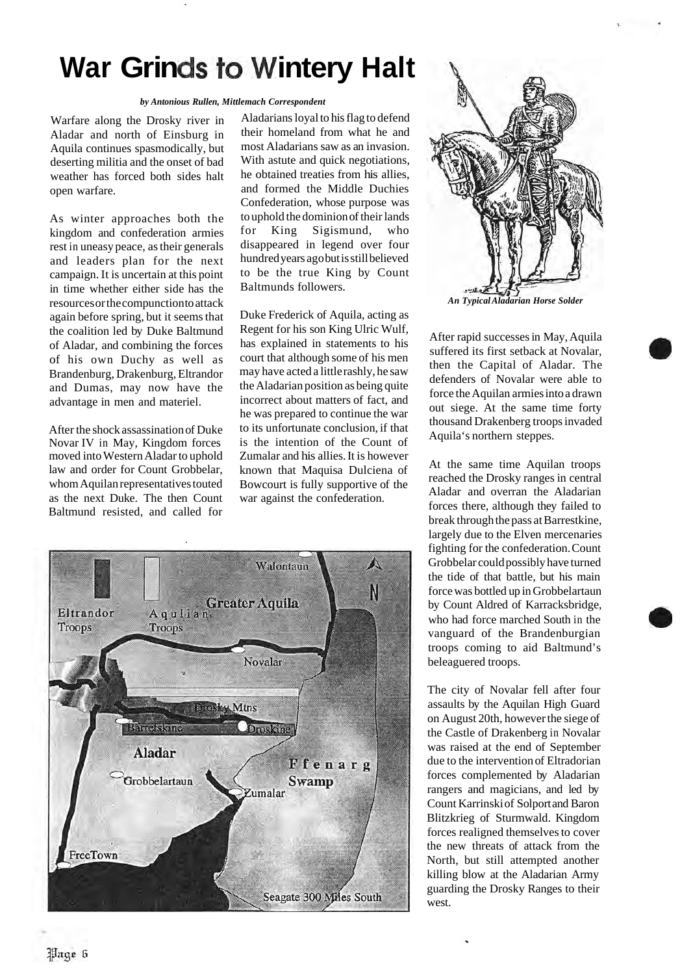### **War Grinds to Wintery Halt**

*by Antonious Rullen, Mittlemach Correspondent* 

Warfare along the Drosky river in Aladar and north of Einsburg in Aquila continues spasmodically, but deserting militia and the onset of bad weather has forced both sides halt open warfare.

As winter approaches both the kingdom and confederation armies rest in uneasy peace, as their generals and leaders plan for the next campaign. It is uncertain at this point in time whether either side has the resources or the compunction to attack again before spring, but it seems that the coalition led by Duke Baltmund of Aladar, and combining the forces of his own Duchy as well as Brandenburg, Drakenburg, Eltrandor and Dumas, may now have the advantage in men and materiel.

After the shock assassination of Duke Novar IV in May, Kingdom forces moved into Western Aladar to uphold law and order for Count Grobbelar, whom Aquilan representatives touted as the next Duke. The then Count Baltmund resisted, and called for

Aladarians loyal to his flag to defend their homeland from what he and most Aladarians saw as an invasion. With astute and quick negotiations, he obtained treaties from his allies, and formed the Middle Duchies Confederation, whose purpose was to uphold the dominion of their lands for King Sigismund, who disappeared in legend over four hundred years ago but is still believed to be the true King by Count Baltmunds followers.

Duke Frederick of Aquila, acting as Regent for his son King Ulric Wulf, has explained in statements to his court that although some of his men may have acted a little rashly, he saw the Aladarian position as being quite incorrect about matters of fact, and he was prepared to continue the war to its unfortunate conclusion, if that is the intention of the Count of Zumalar and his allies. It is however known that Maquisa Dulciena of Bowcourt is fully supportive of the war against the confederation.





*An Typical Aladarian Horse Solder* 

After rapid successes in May, Aquila suffered its first setback at Novalar, then the Capital of Aladar. The defenders of Novalar were able to force the Aquilan armies into a drawn out siege. At the same time forty thousand Drakenberg troops invaded Aquila's northern steppes.

At the same time Aquilan troops reached the Drosky ranges in central Aladar and overran the Aladarian forces there, although they failed to break through the pass at Barrestkine, largely due to the Elven mercenaries fighting for the confederation. Count Grobbelar could possibly have turned the tide of that battle, but his main force was bottled up in Grobbelartaun by Count Aldred of Karracksbridge, who had force marched South in the vanguard of the Brandenburgian troops coming to aid Baltmund's beleaguered troops.

The city of Novalar fell after four assaults by the Aquilan High Guard on August 20th, however the siege of the Castle of Drakenberg in Novalar was raised at the end of September due to the intervention of Eltradorian forces complemented by Aladarian rangers and magicians, and led by Count Karrinski of Solport and Baron Blitzkrieg of Sturmwald. Kingdom forces realigned themselves to cover the new threats of attack from the North, but still attempted another killing blow at the Aladarian Army guarding the Drosky Ranges to their west.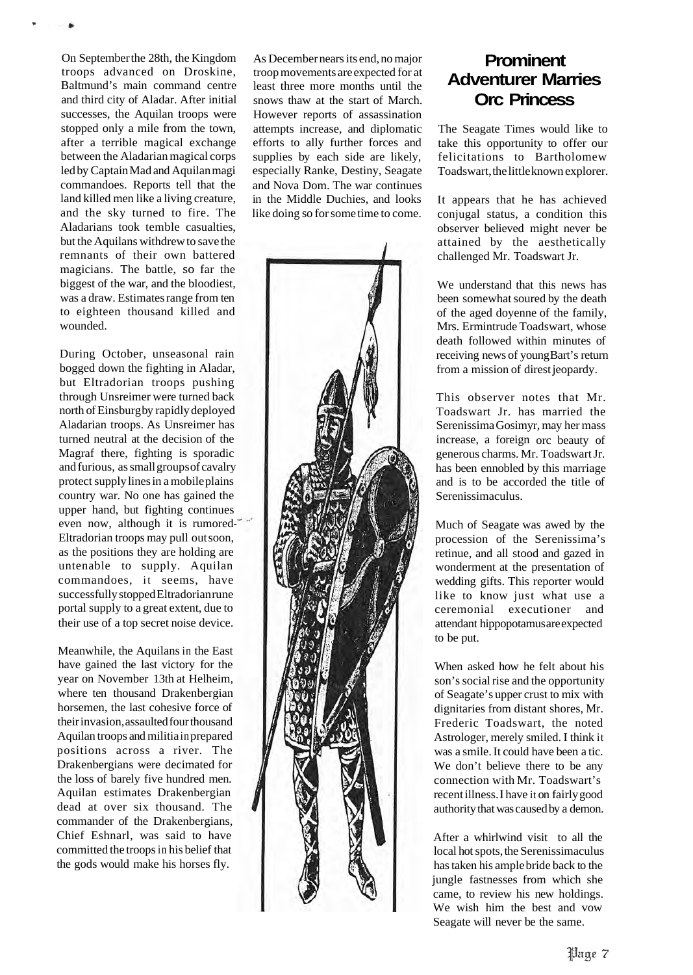On September the 28th, the Kingdom troops advanced on Droskine, Baltmund's main command centre and third city of Aladar. After initial successes, the Aquilan troops were stopped only a mile from the town, after a terrible magical exchange between the Aladarian magical corps led by Captain Mad and Aquilan magi commandoes. Reports tell that the land killed men like a living creature, and the sky turned to fire. The Aladarians took temble casualties, but the Aquilans withdrew to save the remnants of their own battered magicians. The battle, so far the biggest of the war, and the bloodiest, was a draw. Estimates range from ten to eighteen thousand killed and wounded.

During October, unseasonal rain bogged down the fighting in Aladar, but Eltradorian troops pushing through Unsreimer were turned back north of Einsburg by rapidly deployed Aladarian troops. As Unsreimer has turned neutral at the decision of the Magraf there, fighting is sporadic and furious, assmall groups of cavalry protect supply lines in a mobile plains country war. No one has gained the upper hand, but fighting continues even now, although it is rumored-Eltradorian troops may pull out soon, as the positions they are holding are untenable to supply. Aquilan commandoes, it seems, have successfully stopped Eltradorian rune portal supply to a great extent, due to their use of a top secret noise device.

Meanwhile, the Aquilans in the East have gained the last victory for the year on November 13th at Helheim, where ten thousand Drakenbergian horsemen, the last cohesive force of their invasion, assaulted four thousand Aquilan troops and militia in prepared positions across a river. The Drakenbergians were decimated for the loss of barely five hundred men. Aquilan estimates Drakenbergian dead at over six thousand. The commander of the Drakenbergians, Chief Eshnarl, was said to have committed the troops in his belief that the gods would make his horses fly.

As December nears its end, no major troop movements are expected for at least three more months until the snows thaw at the start of March. However reports of assassination attempts increase, and diplomatic efforts to ally further forces and supplies by each side are likely, especially Ranke, Destiny, Seagate and Nova Dom. The war continues in the Middle Duchies, and looks like doing so for some time to come.



#### **Prominent Adventurer Marries Orc Princess**

The Seagate Times would like to take this opportunity to offer our felicitations to Bartholomew Toadswart, the little known explorer.

It appears that he has achieved conjugal status, a condition this observer believed might never be attained by the aesthetically challenged Mr. Toadswart Jr.

We understand that this news has been somewhat soured by the death of the aged doyenne of the family, Mrs. Ermintrude Toadswart, whose death followed within minutes of receiving news of young Bart's return from a mission of direst jeopardy.

This observer notes that Mr. Toadswart Jr. has married the Serenissima Gosimyr, may her mass increase, a foreign orc beauty of generous charms. Mr. Toadswart Jr. has been ennobled by this marriage and is to be accorded the title of Serenissimaculus.

Much of Seagate was awed by the procession of the Serenissima's retinue, and all stood and gazed in wonderment at the presentation of wedding gifts. This reporter would like to know just what use a ceremonial executioner and attendant hippopotamus are expected to be put.

When asked how he felt about his son's social rise and the opportunity of Seagate's upper crust to mix with dignitaries from distant shores, Mr. Frederic Toadswart, the noted Astrologer, merely smiled. I think it was a smile. It could have been a tic. We don't believe there to be any connection with Mr. Toadswart's recent illness. I have it on fairly good authority that was caused by a demon.

After a whirlwind visit to all the local hot spots, the Serenissimaculus has taken his ample bride back to the jungle fastnesses from which she came, to review his new holdings. We wish him the best and vow Seagate will never be the same.